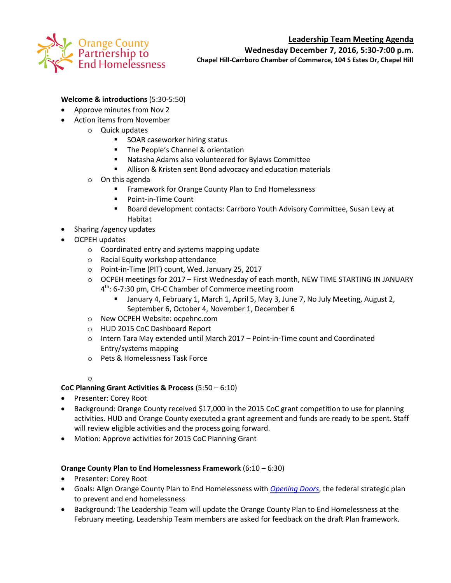

# **Leadership Team Meeting Agenda**

**Wednesday December 7, 2016, 5:30-7:00 p.m.**

**Chapel Hill-Carrboro Chamber of Commerce, 104 S Estes Dr, Chapel Hill**

# **Welcome & introductions** (5:30-5:50)

- Approve minutes from Nov 2
- Action items from November
	- o Quick updates
		- **SOAR caseworker hiring status**
		- **The People's Channel & orientation**
		- Natasha Adams also volunteered for Bylaws Committee
		- **Allison & Kristen sent Bond advocacy and education materials**
	- o On this agenda
		- **Framework for Orange County Plan to End Homelessness**
		- **Point-in-Time Count**
		- Board development contacts: Carrboro Youth Advisory Committee, Susan Levy at Habitat
- Sharing / agency updates
- OCPEH updates
	- o Coordinated entry and systems mapping update
	- o Racial Equity workshop attendance
	- o Point-in-Time (PIT) count, Wed. January 25, 2017
	- o OCPEH meetings for 2017 First Wednesday of each month, NEW TIME STARTING IN JANUARY 4<sup>th</sup>: 6-7:30 pm, CH-C Chamber of Commerce meeting room
		- January 4, February 1, March 1, April 5, May 3, June 7, No July Meeting, August 2, September 6, October 4, November 1, December 6
	- o New OCPEH Website: ocpehnc.com
	- o HUD 2015 CoC Dashboard Report
	- o Intern Tara May extended until March 2017 Point-in-Time count and Coordinated Entry/systems mapping
	- o Pets & Homelessness Task Force

### o

### **CoC Planning Grant Activities & Process** (5:50 – 6:10)

- Presenter: Corey Root
- Background: Orange County received \$17,000 in the 2015 CoC grant competition to use for planning activities. HUD and Orange County executed a grant agreement and funds are ready to be spent. Staff will review eligible activities and the process going forward.
- Motion: Approve activities for 2015 CoC Planning Grant

### **Orange County Plan to End Homelessness Framework** (6:10 – 6:30)

- Presenter: Corey Root
- Goals: Align Orange County Plan to End Homelessness with *[Opening Doors](https://www.usich.gov/opening-doors)*, the federal strategic plan to prevent and end homelessness
- Background: The Leadership Team will update the Orange County Plan to End Homelessness at the February meeting. Leadership Team members are asked for feedback on the draft Plan framework.